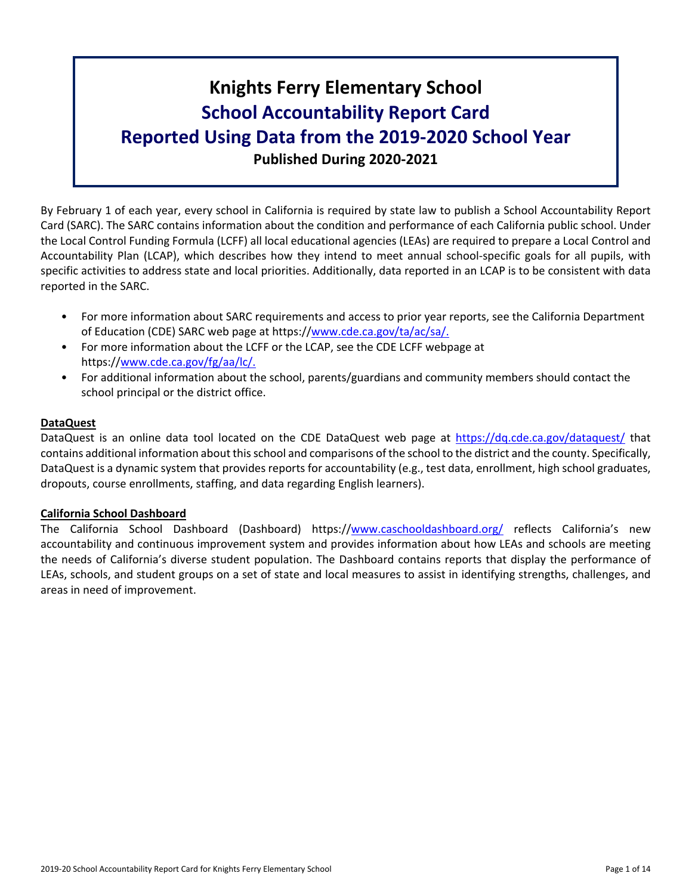# **Knights Ferry Elementary School School Accountability Report Card Reported Using Data from the 2019-2020 School Year Published During 2020-2021**

By February 1 of each year, every school in California is required by state law to publish a School Accountability Report Card (SARC). The SARC contains information about the condition and performance of each California public school. Under the Local Control Funding Formula (LCFF) all local educational agencies (LEAs) are required to prepare a Local Control and Accountability Plan (LCAP), which describes how they intend to meet annual school-specific goals for all pupils, with specific activities to address state and local priorities. Additionally, data reported in an LCAP is to be consistent with data reported in the SARC.

- For more information about SARC requirements and access to prior year reports, see the California Department of Education (CDE) SARC web page at https://[www.cde.ca.gov/ta/ac/sa/.](https://www.cde.ca.gov/ta/ac/sa/)
- For more information about the LCFF or the LCAP, see the CDE LCFF webpage at https://[www.cde.ca.gov/fg/aa/lc/.](https://www.cde.ca.gov/fg/aa/lc/)
- For additional information about the school, parents/guardians and community members should contact the school principal or the district office.

### **DataQuest**

DataQuest is an online data tool located on the CDE DataQuest web page at <https://dq.cde.ca.gov/dataquest/> that contains additional information about thisschool and comparisons of the school to the district and the county. Specifically, DataQuest is a dynamic system that provides reports for accountability (e.g., test data, enrollment, high school graduates, dropouts, course enrollments, staffing, and data regarding English learners).

### **California School Dashboard**

The California School Dashboard (Dashboard) https://[www.caschooldashboard.org/](https://www.caschooldashboard.org/) reflects California's new accountability and continuous improvement system and provides information about how LEAs and schools are meeting the needs of California's diverse student population. The Dashboard contains reports that display the performance of LEAs, schools, and student groups on a set of state and local measures to assist in identifying strengths, challenges, and areas in need of improvement.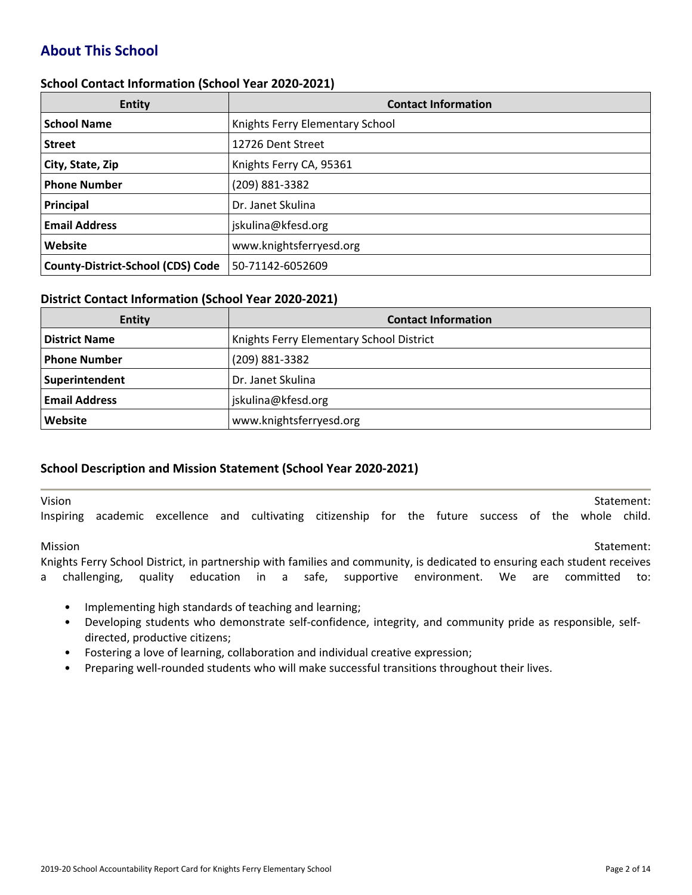# **About This School**

### **School Contact Information (School Year 2020-2021)**

| <b>Entity</b>                            | <b>Contact Information</b>      |
|------------------------------------------|---------------------------------|
| <b>School Name</b>                       | Knights Ferry Elementary School |
| <b>Street</b>                            | 12726 Dent Street               |
| City, State, Zip                         | Knights Ferry CA, 95361         |
| <b>Phone Number</b>                      | (209) 881-3382                  |
| Principal                                | Dr. Janet Skulina               |
| <b>Email Address</b>                     | jskulina@kfesd.org              |
| Website                                  | www.knightsferryesd.org         |
| <b>County-District-School (CDS) Code</b> | 50-71142-6052609                |

#### **District Contact Information (School Year 2020-2021)**

| <b>Entity</b>        | <b>Contact Information</b>               |  |
|----------------------|------------------------------------------|--|
| <b>District Name</b> | Knights Ferry Elementary School District |  |
| <b>Phone Number</b>  | (209) 881-3382                           |  |
| Superintendent       | Dr. Janet Skulina                        |  |
| <b>Email Address</b> | jskulina@kfesd.org                       |  |
| Website              | www.knightsferryesd.org                  |  |

### **School Description and Mission Statement (School Year 2020-2021)**

vision and the statement: the statement of the statement of the statement of the statement: Inspiring academic excellence and cultivating citizenship for the future success of the whole child.

Mission Statement:

Knights Ferry School District, in partnership with families and community, is dedicated to ensuring each student receives a challenging, quality education in a safe, supportive environment. We are committed to:

- Implementing high standards of teaching and learning;
- Developing students who demonstrate self-confidence, integrity, and community pride as responsible, selfdirected, productive citizens;
- Fostering a love of learning, collaboration and individual creative expression;
- Preparing well-rounded students who will make successful transitions throughout their lives.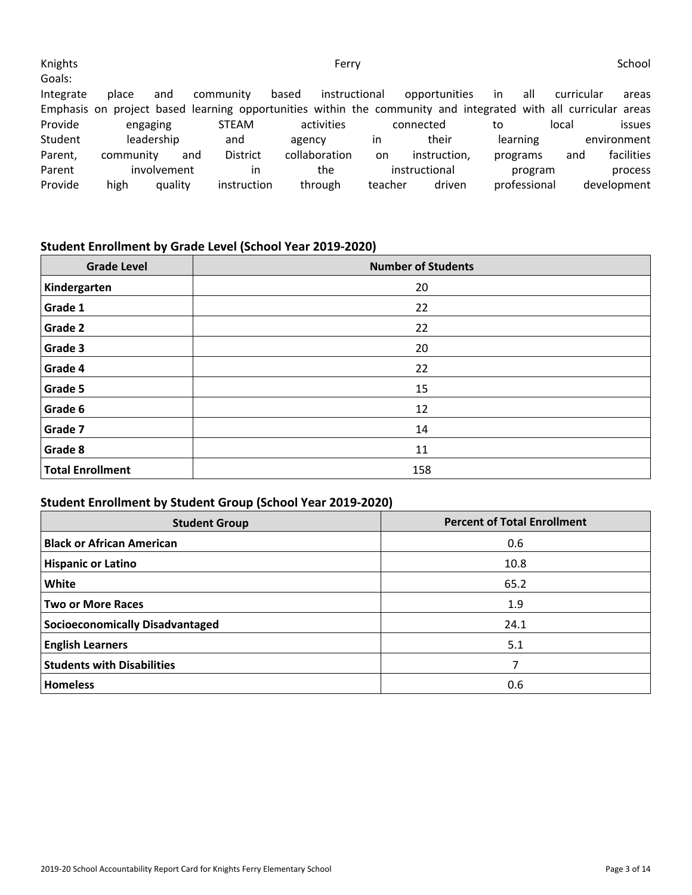| Knights<br>Goals: |           |             |                                                                                                                |        | Ferry         |               |               |    |              |            | School        |
|-------------------|-----------|-------------|----------------------------------------------------------------------------------------------------------------|--------|---------------|---------------|---------------|----|--------------|------------|---------------|
| Integrate         | place     | and         | community                                                                                                      | based  |               | instructional | opportunities | in | all          | curricular | areas         |
|                   |           |             | Emphasis on project based learning opportunities within the community and integrated with all curricular areas |        |               |               |               |    |              |            |               |
| Provide           | engaging  |             | <b>STEAM</b>                                                                                                   |        | activities    |               | connected     | to |              | local      | <i>issues</i> |
| Student           |           | leadership  | and                                                                                                            | agency |               | <i>in</i>     | their         |    | learning     |            | environment   |
| Parent,           | community |             | <b>District</b><br>and                                                                                         |        | collaboration | <sub>on</sub> | instruction,  |    | programs     | and        | facilities    |
| Parent            |           | involvement | in                                                                                                             |        | the           |               | instructional |    | program      |            | process       |
| Provide           | high      | quality     | instruction                                                                                                    |        | through       | teacher       | driven        |    | professional |            | development   |

# **Student Enrollment by Grade Level (School Year 2019-2020)**

| <b>Grade Level</b>      | <b>Number of Students</b> |
|-------------------------|---------------------------|
| Kindergarten            | 20                        |
| Grade 1                 | 22                        |
| Grade 2                 | 22                        |
| Grade 3                 | 20                        |
| Grade 4                 | 22                        |
| Grade 5                 | 15                        |
| Grade 6                 | 12                        |
| Grade 7                 | 14                        |
| Grade 8                 | 11                        |
| <b>Total Enrollment</b> | 158                       |

# **Student Enrollment by Student Group (School Year 2019-2020)**

| <b>Student Group</b>                   | <b>Percent of Total Enrollment</b> |
|----------------------------------------|------------------------------------|
| <b>Black or African American</b>       | 0.6                                |
| <b>Hispanic or Latino</b>              | 10.8                               |
| White                                  | 65.2                               |
| <b>Two or More Races</b>               | 1.9                                |
| <b>Socioeconomically Disadvantaged</b> | 24.1                               |
| <b>English Learners</b>                | 5.1                                |
| <b>Students with Disabilities</b>      | 7                                  |
| <b>Homeless</b>                        | 0.6                                |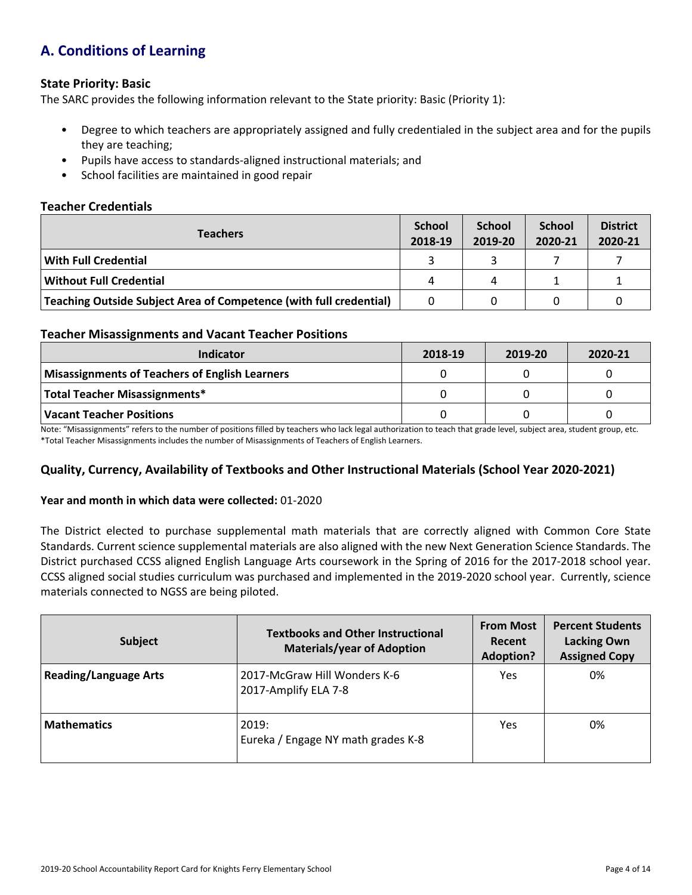# **A. Conditions of Learning**

### **State Priority: Basic**

The SARC provides the following information relevant to the State priority: Basic (Priority 1):

- Degree to which teachers are appropriately assigned and fully credentialed in the subject area and for the pupils they are teaching;
- Pupils have access to standards-aligned instructional materials; and
- School facilities are maintained in good repair

### **Teacher Credentials**

| <b>Teachers</b>                                                    | <b>School</b><br>2018-19 | <b>School</b><br>2019-20 | <b>School</b><br>2020-21 | <b>District</b><br>2020-21 |
|--------------------------------------------------------------------|--------------------------|--------------------------|--------------------------|----------------------------|
| With Full Credential                                               |                          |                          |                          |                            |
| Without Full Credential                                            | 4                        | 4                        |                          |                            |
| Teaching Outside Subject Area of Competence (with full credential) |                          |                          |                          |                            |

### **Teacher Misassignments and Vacant Teacher Positions**

| Indicator                                             | 2018-19 | 2019-20 | 2020-21 |
|-------------------------------------------------------|---------|---------|---------|
| <b>Misassignments of Teachers of English Learners</b> |         |         |         |
| <b>Total Teacher Misassignments*</b>                  |         |         |         |
| <b>Vacant Teacher Positions</b>                       |         |         |         |

Note: "Misassignments" refers to the number of positions filled by teachers who lack legal authorization to teach that grade level, subject area, student group, etc. \*Total Teacher Misassignments includes the number of Misassignments of Teachers of English Learners.

## **Quality, Currency, Availability of Textbooks and Other Instructional Materials (School Year 2020-2021)**

### **Year and month in which data were collected:** 01-2020

The District elected to purchase supplemental math materials that are correctly aligned with Common Core State Standards. Current science supplemental materials are also aligned with the new Next Generation Science Standards. The District purchased CCSS aligned English Language Arts coursework in the Spring of 2016 for the 2017-2018 school year. CCSS aligned social studies curriculum was purchased and implemented in the 2019-2020 school year. Currently, science materials connected to NGSS are being piloted.

| Subject                      | <b>Textbooks and Other Instructional</b><br><b>Materials/year of Adoption</b> | <b>From Most</b><br>Recent<br><b>Adoption?</b> | <b>Percent Students</b><br><b>Lacking Own</b><br><b>Assigned Copy</b> |
|------------------------------|-------------------------------------------------------------------------------|------------------------------------------------|-----------------------------------------------------------------------|
| <b>Reading/Language Arts</b> | 2017-McGraw Hill Wonders K-6<br>2017-Amplify ELA 7-8                          | Yes                                            | 0%                                                                    |
| <b>Mathematics</b>           | 2019:<br>Eureka / Engage NY math grades K-8                                   | Yes                                            | 0%                                                                    |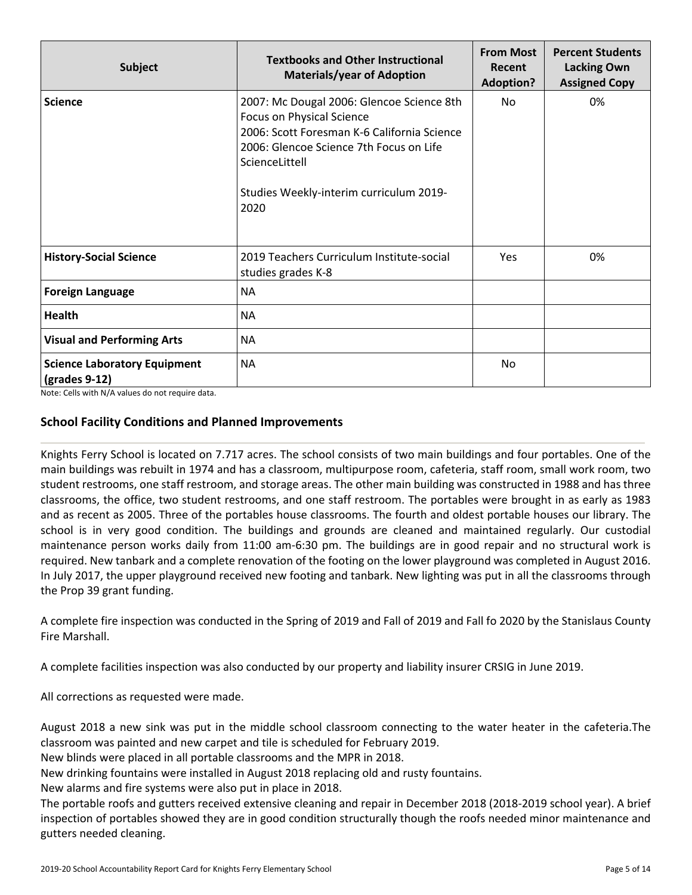| <b>Subject</b>                                                        | <b>Textbooks and Other Instructional</b><br><b>Materials/year of Adoption</b>                                                                                                                                                                | <b>From Most</b><br>Recent<br><b>Adoption?</b> | <b>Percent Students</b><br><b>Lacking Own</b><br><b>Assigned Copy</b> |
|-----------------------------------------------------------------------|----------------------------------------------------------------------------------------------------------------------------------------------------------------------------------------------------------------------------------------------|------------------------------------------------|-----------------------------------------------------------------------|
| <b>Science</b>                                                        | 2007: Mc Dougal 2006: Glencoe Science 8th<br><b>Focus on Physical Science</b><br>2006: Scott Foresman K-6 California Science<br>2006: Glencoe Science 7th Focus on Life<br>ScienceLittell<br>Studies Weekly-interim curriculum 2019-<br>2020 | No                                             | 0%                                                                    |
| <b>History-Social Science</b>                                         | 2019 Teachers Curriculum Institute-social<br>studies grades K-8                                                                                                                                                                              | Yes                                            | 0%                                                                    |
| <b>Foreign Language</b>                                               | <b>NA</b>                                                                                                                                                                                                                                    |                                                |                                                                       |
| <b>Health</b>                                                         | <b>NA</b>                                                                                                                                                                                                                                    |                                                |                                                                       |
| <b>Visual and Performing Arts</b>                                     | <b>NA</b>                                                                                                                                                                                                                                    |                                                |                                                                       |
| <b>Science Laboratory Equipment</b><br>$\left($ grades 9-12 $\right)$ | <b>NA</b>                                                                                                                                                                                                                                    | No.                                            |                                                                       |

Note: Cells with N/A values do not require data.

### **School Facility Conditions and Planned Improvements**

Knights Ferry School is located on 7.717 acres. The school consists of two main buildings and four portables. One of the main buildings was rebuilt in 1974 and has a classroom, multipurpose room, cafeteria, staff room, small work room, two student restrooms, one staff restroom, and storage areas. The other main building was constructed in 1988 and has three classrooms, the office, two student restrooms, and one staff restroom. The portables were brought in as early as 1983 and as recent as 2005. Three of the portables house classrooms. The fourth and oldest portable houses our library. The school is in very good condition. The buildings and grounds are cleaned and maintained regularly. Our custodial maintenance person works daily from 11:00 am-6:30 pm. The buildings are in good repair and no structural work is required. New tanbark and a complete renovation of the footing on the lower playground was completed in August 2016. In July 2017, the upper playground received new footing and tanbark. New lighting was put in all the classrooms through the Prop 39 grant funding.

A complete fire inspection was conducted in the Spring of 2019 and Fall of 2019 and Fall fo 2020 by the Stanislaus County Fire Marshall.

A complete facilities inspection was also conducted by our property and liability insurer CRSIG in June 2019.

All corrections as requested were made.

August 2018 a new sink was put in the middle school classroom connecting to the water heater in the cafeteria.The classroom was painted and new carpet and tile is scheduled for February 2019.

New blinds were placed in all portable classrooms and the MPR in 2018.

New drinking fountains were installed in August 2018 replacing old and rusty fountains.

New alarms and fire systems were also put in place in 2018.

The portable roofs and gutters received extensive cleaning and repair in December 2018 (2018-2019 school year). A brief inspection of portables showed they are in good condition structurally though the roofs needed minor maintenance and gutters needed cleaning.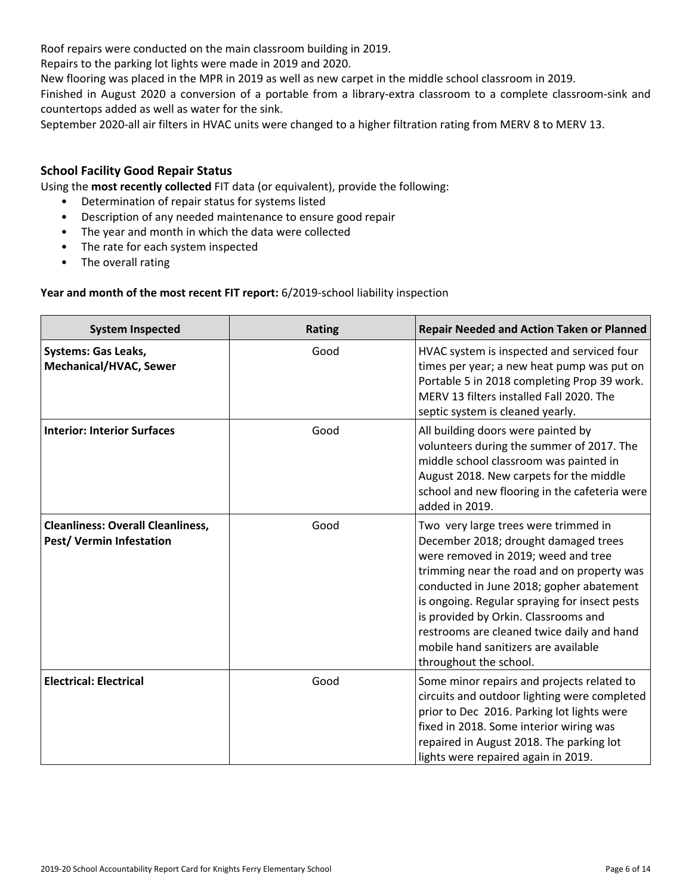Roof repairs were conducted on the main classroom building in 2019.

Repairs to the parking lot lights were made in 2019 and 2020.

New flooring was placed in the MPR in 2019 as well as new carpet in the middle school classroom in 2019.

Finished in August 2020 a conversion of a portable from a library-extra classroom to a complete classroom-sink and countertops added as well as water for the sink.

September 2020-all air filters in HVAC units were changed to a higher filtration rating from MERV 8 to MERV 13.

## **School Facility Good Repair Status**

Using the **most recently collected** FIT data (or equivalent), provide the following:

- Determination of repair status for systems listed
- Description of any needed maintenance to ensure good repair
- The year and month in which the data were collected
- The rate for each system inspected
- The overall rating

### **Year and month of the most recent FIT report:** 6/2019-school liability inspection

| <b>System Inspected</b>                                                     | <b>Rating</b> | <b>Repair Needed and Action Taken or Planned</b>                                                                                                                                                                                                                                                                                                                                                                       |
|-----------------------------------------------------------------------------|---------------|------------------------------------------------------------------------------------------------------------------------------------------------------------------------------------------------------------------------------------------------------------------------------------------------------------------------------------------------------------------------------------------------------------------------|
| <b>Systems: Gas Leaks,</b><br>Mechanical/HVAC, Sewer                        | Good          | HVAC system is inspected and serviced four<br>times per year; a new heat pump was put on<br>Portable 5 in 2018 completing Prop 39 work.<br>MERV 13 filters installed Fall 2020. The<br>septic system is cleaned yearly.                                                                                                                                                                                                |
| <b>Interior: Interior Surfaces</b>                                          | Good          | All building doors were painted by<br>volunteers during the summer of 2017. The<br>middle school classroom was painted in<br>August 2018. New carpets for the middle<br>school and new flooring in the cafeteria were<br>added in 2019.                                                                                                                                                                                |
| <b>Cleanliness: Overall Cleanliness,</b><br><b>Pest/ Vermin Infestation</b> | Good          | Two very large trees were trimmed in<br>December 2018; drought damaged trees<br>were removed in 2019; weed and tree<br>trimming near the road and on property was<br>conducted in June 2018; gopher abatement<br>is ongoing. Regular spraying for insect pests<br>is provided by Orkin. Classrooms and<br>restrooms are cleaned twice daily and hand<br>mobile hand sanitizers are available<br>throughout the school. |
| <b>Electrical: Electrical</b>                                               | Good          | Some minor repairs and projects related to<br>circuits and outdoor lighting were completed<br>prior to Dec 2016. Parking lot lights were<br>fixed in 2018. Some interior wiring was<br>repaired in August 2018. The parking lot<br>lights were repaired again in 2019.                                                                                                                                                 |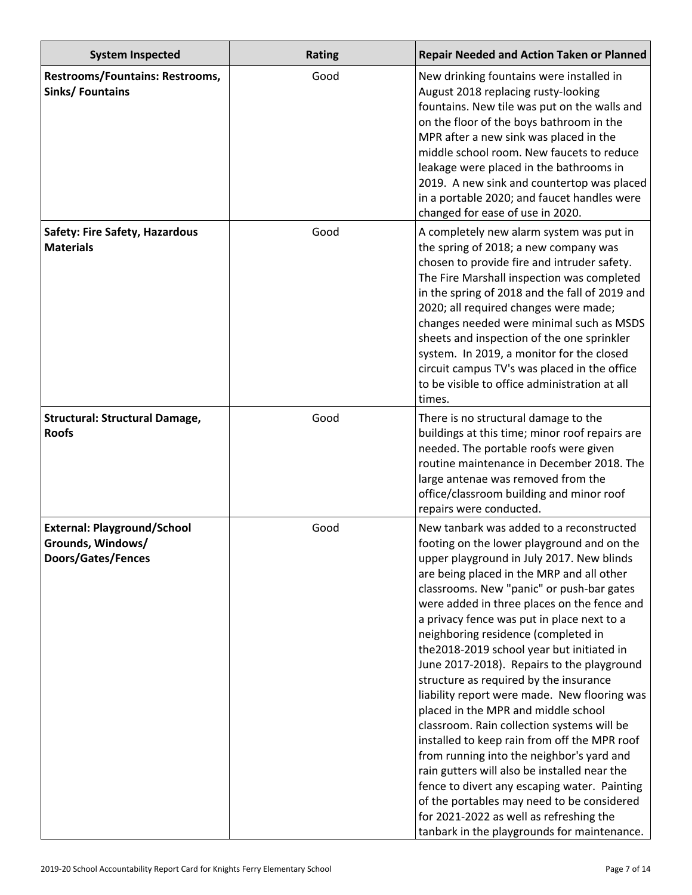| <b>System Inspected</b>                                                              | <b>Rating</b> | <b>Repair Needed and Action Taken or Planned</b>                                                                                                                                                                                                                                                                                                                                                                                                                                                                                                                                                                                                                                                                                                                                                                                                                                                                                                                                  |
|--------------------------------------------------------------------------------------|---------------|-----------------------------------------------------------------------------------------------------------------------------------------------------------------------------------------------------------------------------------------------------------------------------------------------------------------------------------------------------------------------------------------------------------------------------------------------------------------------------------------------------------------------------------------------------------------------------------------------------------------------------------------------------------------------------------------------------------------------------------------------------------------------------------------------------------------------------------------------------------------------------------------------------------------------------------------------------------------------------------|
| Restrooms/Fountains: Restrooms,<br><b>Sinks/ Fountains</b>                           | Good          | New drinking fountains were installed in<br>August 2018 replacing rusty-looking<br>fountains. New tile was put on the walls and<br>on the floor of the boys bathroom in the<br>MPR after a new sink was placed in the<br>middle school room. New faucets to reduce<br>leakage were placed in the bathrooms in<br>2019. A new sink and countertop was placed<br>in a portable 2020; and faucet handles were<br>changed for ease of use in 2020.                                                                                                                                                                                                                                                                                                                                                                                                                                                                                                                                    |
| <b>Safety: Fire Safety, Hazardous</b><br><b>Materials</b>                            | Good          | A completely new alarm system was put in<br>the spring of 2018; a new company was<br>chosen to provide fire and intruder safety.<br>The Fire Marshall inspection was completed<br>in the spring of 2018 and the fall of 2019 and<br>2020; all required changes were made;<br>changes needed were minimal such as MSDS<br>sheets and inspection of the one sprinkler<br>system. In 2019, a monitor for the closed<br>circuit campus TV's was placed in the office<br>to be visible to office administration at all<br>times.                                                                                                                                                                                                                                                                                                                                                                                                                                                       |
| <b>Structural: Structural Damage,</b><br><b>Roofs</b>                                | Good          | There is no structural damage to the<br>buildings at this time; minor roof repairs are<br>needed. The portable roofs were given<br>routine maintenance in December 2018. The<br>large antenae was removed from the<br>office/classroom building and minor roof<br>repairs were conducted.                                                                                                                                                                                                                                                                                                                                                                                                                                                                                                                                                                                                                                                                                         |
| <b>External: Playground/School</b><br>Grounds, Windows/<br><b>Doors/Gates/Fences</b> | Good          | New tanbark was added to a reconstructed<br>footing on the lower playground and on the<br>upper playground in July 2017. New blinds<br>are being placed in the MRP and all other<br>classrooms. New "panic" or push-bar gates<br>were added in three places on the fence and<br>a privacy fence was put in place next to a<br>neighboring residence (completed in<br>the 2018-2019 school year but initiated in<br>June 2017-2018). Repairs to the playground<br>structure as required by the insurance<br>liability report were made. New flooring was<br>placed in the MPR and middle school<br>classroom. Rain collection systems will be<br>installed to keep rain from off the MPR roof<br>from running into the neighbor's yard and<br>rain gutters will also be installed near the<br>fence to divert any escaping water. Painting<br>of the portables may need to be considered<br>for 2021-2022 as well as refreshing the<br>tanbark in the playgrounds for maintenance. |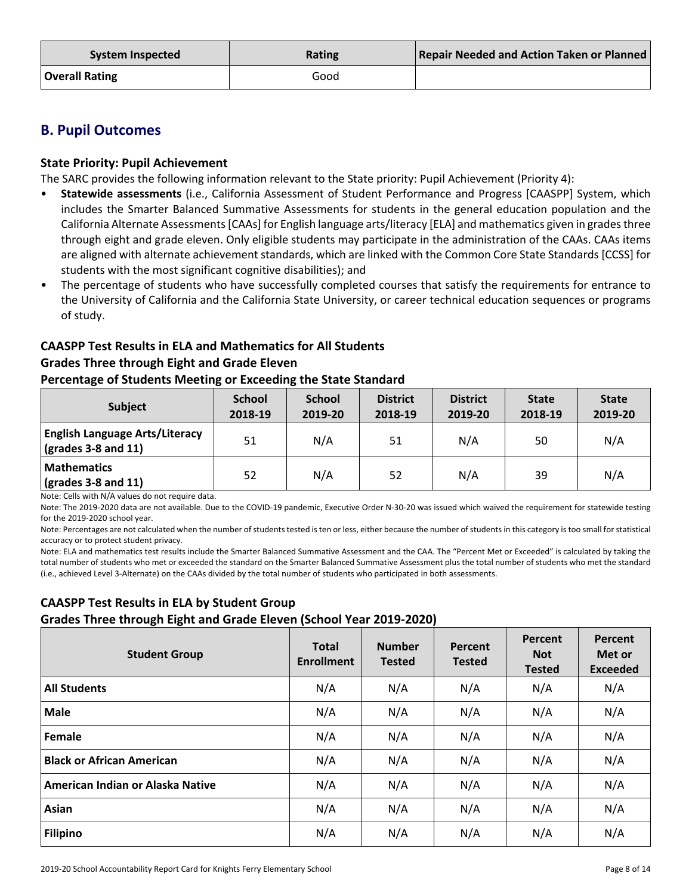| System Inspected      | <b>Rating</b> | <b>Repair Needed and Action Taken or Planned</b> |
|-----------------------|---------------|--------------------------------------------------|
| <b>Overall Rating</b> | Good          |                                                  |

# **B. Pupil Outcomes**

## **State Priority: Pupil Achievement**

The SARC provides the following information relevant to the State priority: Pupil Achievement (Priority 4):

- **Statewide assessments** (i.e., California Assessment of Student Performance and Progress [CAASPP] System, which includes the Smarter Balanced Summative Assessments for students in the general education population and the California Alternate Assessments [CAAs] for English language arts/literacy [ELA] and mathematics given in grades three through eight and grade eleven. Only eligible students may participate in the administration of the CAAs. CAAs items are aligned with alternate achievement standards, which are linked with the Common Core State Standards [CCSS] for students with the most significant cognitive disabilities); and
- The percentage of students who have successfully completed courses that satisfy the requirements for entrance to the University of California and the California State University, or career technical education sequences or programs of study.

# **CAASPP Test Results in ELA and Mathematics for All Students Grades Three through Eight and Grade Eleven**

### **Percentage of Students Meeting or Exceeding the State Standard**

| <b>Subject</b>                                                             | <b>School</b><br>2018-19 | <b>School</b><br>2019-20 | <b>District</b><br>2018-19 | <b>District</b><br>2019-20 | <b>State</b><br>2018-19 | <b>State</b><br>2019-20 |
|----------------------------------------------------------------------------|--------------------------|--------------------------|----------------------------|----------------------------|-------------------------|-------------------------|
| <b>English Language Arts/Literacy</b><br>$\frac{1}{2}$ (grades 3-8 and 11) | 51                       | N/A                      | 51                         | N/A                        | 50                      | N/A                     |
| <b>Mathematics</b><br>$\frac{1}{2}$ (grades 3-8 and 11)                    | 52                       | N/A                      | 52                         | N/A                        | 39                      | N/A                     |

Note: Cells with N/A values do not require data.

Note: The 2019-2020 data are not available. Due to the COVID-19 pandemic, Executive Order N-30-20 was issued which waived the requirement for statewide testing for the 2019-2020 school year.

Note: Percentages are not calculated when the number of students tested is ten or less, either because the number of students in this category is too small for statistical accuracy or to protect student privacy.

Note: ELA and mathematics test results include the Smarter Balanced Summative Assessment and the CAA. The "Percent Met or Exceeded" is calculated by taking the total number of students who met or exceeded the standard on the Smarter Balanced Summative Assessment plus the total number of students who met the standard (i.e., achieved Level 3-Alternate) on the CAAs divided by the total number of students who participated in both assessments.

# **CAASPP Test Results in ELA by Student Group Grades Three through Eight and Grade Eleven (School Year 2019-2020)**

| <b>Student Group</b>             | <b>Total</b><br><b>Enrollment</b> | <b>Number</b><br><b>Tested</b> | Percent<br><b>Tested</b> | Percent<br><b>Not</b><br><b>Tested</b> | Percent<br>Met or<br><b>Exceeded</b> |
|----------------------------------|-----------------------------------|--------------------------------|--------------------------|----------------------------------------|--------------------------------------|
| <b>All Students</b>              | N/A                               | N/A                            | N/A                      | N/A                                    | N/A                                  |
| <b>Male</b>                      | N/A                               | N/A                            | N/A                      | N/A                                    | N/A                                  |
| Female                           | N/A                               | N/A                            | N/A                      | N/A                                    | N/A                                  |
| <b>Black or African American</b> | N/A                               | N/A                            | N/A                      | N/A                                    | N/A                                  |
| American Indian or Alaska Native | N/A                               | N/A                            | N/A                      | N/A                                    | N/A                                  |
| Asian                            | N/A                               | N/A                            | N/A                      | N/A                                    | N/A                                  |
| <b>Filipino</b>                  | N/A                               | N/A                            | N/A                      | N/A                                    | N/A                                  |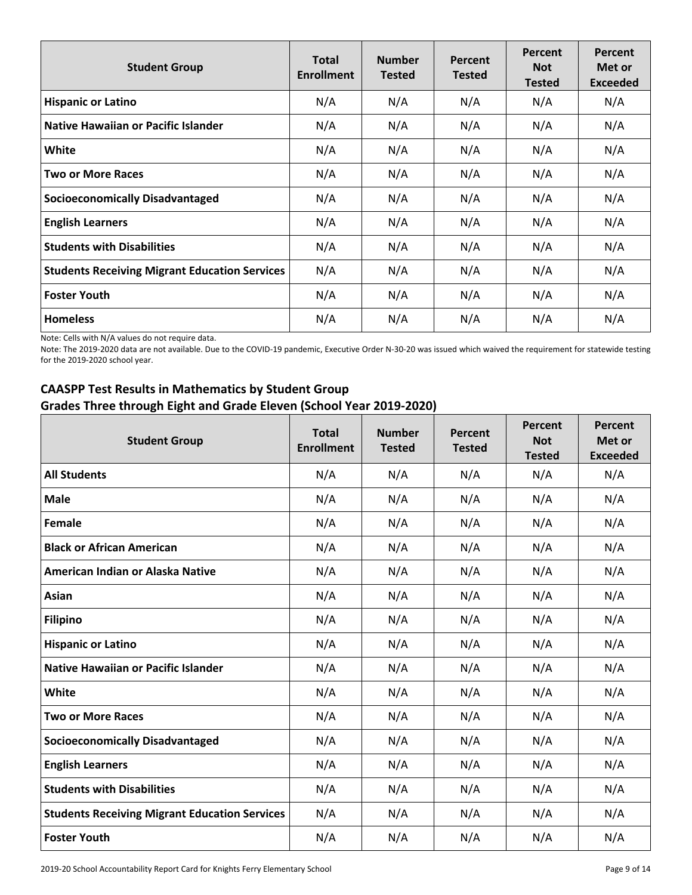| <b>Student Group</b>                                 | <b>Total</b><br><b>Enrollment</b> | <b>Number</b><br><b>Tested</b> | Percent<br><b>Tested</b> | Percent<br><b>Not</b><br><b>Tested</b> | <b>Percent</b><br>Met or<br><b>Exceeded</b> |
|------------------------------------------------------|-----------------------------------|--------------------------------|--------------------------|----------------------------------------|---------------------------------------------|
| <b>Hispanic or Latino</b>                            | N/A                               | N/A                            | N/A                      | N/A                                    | N/A                                         |
| <b>Native Hawaiian or Pacific Islander</b>           | N/A                               | N/A                            | N/A                      | N/A                                    | N/A                                         |
| White                                                | N/A                               | N/A                            | N/A                      | N/A                                    | N/A                                         |
| <b>Two or More Races</b>                             | N/A                               | N/A                            | N/A                      | N/A                                    | N/A                                         |
| <b>Socioeconomically Disadvantaged</b>               | N/A                               | N/A                            | N/A                      | N/A                                    | N/A                                         |
| <b>English Learners</b>                              | N/A                               | N/A                            | N/A                      | N/A                                    | N/A                                         |
| <b>Students with Disabilities</b>                    | N/A                               | N/A                            | N/A                      | N/A                                    | N/A                                         |
| <b>Students Receiving Migrant Education Services</b> | N/A                               | N/A                            | N/A                      | N/A                                    | N/A                                         |
| <b>Foster Youth</b>                                  | N/A                               | N/A                            | N/A                      | N/A                                    | N/A                                         |
| <b>Homeless</b>                                      | N/A                               | N/A                            | N/A                      | N/A                                    | N/A                                         |

Note: Cells with N/A values do not require data.

Note: The 2019-2020 data are not available. Due to the COVID-19 pandemic, Executive Order N-30-20 was issued which waived the requirement for statewide testing for the 2019-2020 school year.

# **CAASPP Test Results in Mathematics by Student Group Grades Three through Eight and Grade Eleven (School Year 2019-2020)**

| <b>Student Group</b>                                 | <b>Total</b><br><b>Enrollment</b> | <b>Number</b><br><b>Tested</b> | <b>Percent</b><br><b>Tested</b> | Percent<br><b>Not</b><br><b>Tested</b> | Percent<br>Met or<br><b>Exceeded</b> |
|------------------------------------------------------|-----------------------------------|--------------------------------|---------------------------------|----------------------------------------|--------------------------------------|
| <b>All Students</b>                                  | N/A                               | N/A                            | N/A                             | N/A                                    | N/A                                  |
| <b>Male</b>                                          | N/A                               | N/A                            | N/A                             | N/A                                    | N/A                                  |
| Female                                               | N/A                               | N/A                            | N/A                             | N/A                                    | N/A                                  |
| <b>Black or African American</b>                     | N/A                               | N/A                            | N/A                             | N/A                                    | N/A                                  |
| American Indian or Alaska Native                     | N/A                               | N/A                            | N/A                             | N/A                                    | N/A                                  |
| Asian                                                | N/A                               | N/A                            | N/A                             | N/A                                    | N/A                                  |
| <b>Filipino</b>                                      | N/A                               | N/A                            | N/A                             | N/A                                    | N/A                                  |
| <b>Hispanic or Latino</b>                            | N/A                               | N/A                            | N/A                             | N/A                                    | N/A                                  |
| <b>Native Hawaiian or Pacific Islander</b>           | N/A                               | N/A                            | N/A                             | N/A                                    | N/A                                  |
| White                                                | N/A                               | N/A                            | N/A                             | N/A                                    | N/A                                  |
| <b>Two or More Races</b>                             | N/A                               | N/A                            | N/A                             | N/A                                    | N/A                                  |
| <b>Socioeconomically Disadvantaged</b>               | N/A                               | N/A                            | N/A                             | N/A                                    | N/A                                  |
| <b>English Learners</b>                              | N/A                               | N/A                            | N/A                             | N/A                                    | N/A                                  |
| <b>Students with Disabilities</b>                    | N/A                               | N/A                            | N/A                             | N/A                                    | N/A                                  |
| <b>Students Receiving Migrant Education Services</b> | N/A                               | N/A                            | N/A                             | N/A                                    | N/A                                  |
| <b>Foster Youth</b>                                  | N/A                               | N/A                            | N/A                             | N/A                                    | N/A                                  |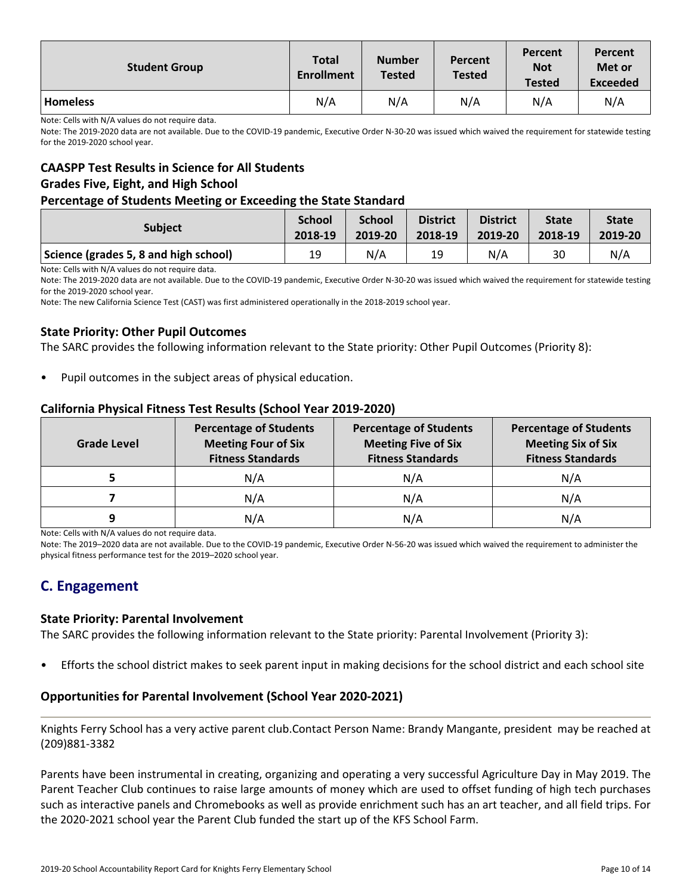| <b>Student Group</b> | <b>Total</b><br><b>Enrollment</b> | <b>Number</b><br><b>Tested</b> | <b>Percent</b><br><b>Tested</b> | Percent<br><b>Not</b><br><b>Tested</b> | Percent<br>Met or<br><b>Exceeded</b> |
|----------------------|-----------------------------------|--------------------------------|---------------------------------|----------------------------------------|--------------------------------------|
| <b>Homeless</b>      | N/A                               | N/A                            | N/A                             | N/A                                    | N/A                                  |

Note: Cells with N/A values do not require data.

Note: The 2019-2020 data are not available. Due to the COVID-19 pandemic, Executive Order N-30-20 was issued which waived the requirement for statewide testing for the 2019-2020 school year.

# **CAASPP Test Results in Science for All Students Grades Five, Eight, and High School**

#### **Percentage of Students Meeting or Exceeding the State Standard**

| <b>Subject</b>                        | <b>School</b> | <b>School</b> | <b>District</b> | <b>District</b> | <b>State</b> | <b>State</b> |
|---------------------------------------|---------------|---------------|-----------------|-----------------|--------------|--------------|
|                                       | 2018-19       | 2019-20       | 2018-19         | 2019-20         | 2018-19      | 2019-20      |
| Science (grades 5, 8 and high school) | 19            | N/A           | 19              | N/A             | 30           | N/A          |

Note: Cells with N/A values do not require data.

Note: The 2019-2020 data are not available. Due to the COVID-19 pandemic, Executive Order N-30-20 was issued which waived the requirement for statewide testing for the 2019-2020 school year.

Note: The new California Science Test (CAST) was first administered operationally in the 2018-2019 school year.

### **State Priority: Other Pupil Outcomes**

The SARC provides the following information relevant to the State priority: Other Pupil Outcomes (Priority 8):

Pupil outcomes in the subject areas of physical education.

### **California Physical Fitness Test Results (School Year 2019-2020)**

| <b>Grade Level</b> | <b>Percentage of Students</b><br><b>Meeting Four of Six</b><br><b>Fitness Standards</b> | <b>Percentage of Students</b><br><b>Meeting Five of Six</b><br><b>Fitness Standards</b> | <b>Percentage of Students</b><br><b>Meeting Six of Six</b><br><b>Fitness Standards</b> |  |  |
|--------------------|-----------------------------------------------------------------------------------------|-----------------------------------------------------------------------------------------|----------------------------------------------------------------------------------------|--|--|
|                    | N/A                                                                                     | N/A                                                                                     | N/A                                                                                    |  |  |
|                    | N/A                                                                                     | N/A                                                                                     | N/A                                                                                    |  |  |
|                    | N/A                                                                                     | N/A                                                                                     | N/A                                                                                    |  |  |

Note: Cells with N/A values do not require data.

Note: The 2019–2020 data are not available. Due to the COVID-19 pandemic, Executive Order N-56-20 was issued which waived the requirement to administer the physical fitness performance test for the 2019–2020 school year.

# **C. Engagement**

### **State Priority: Parental Involvement**

The SARC provides the following information relevant to the State priority: Parental Involvement (Priority 3):

• Efforts the school district makes to seek parent input in making decisions for the school district and each school site

### **Opportunities for Parental Involvement (School Year 2020-2021)**

Knights Ferry School has a very active parent club.Contact Person Name: Brandy Mangante, president may be reached at (209)881-3382

Parents have been instrumental in creating, organizing and operating a very successful Agriculture Day in May 2019. The Parent Teacher Club continues to raise large amounts of money which are used to offset funding of high tech purchases such as interactive panels and Chromebooks as well as provide enrichment such has an art teacher, and all field trips. For the 2020-2021 school year the Parent Club funded the start up of the KFS School Farm.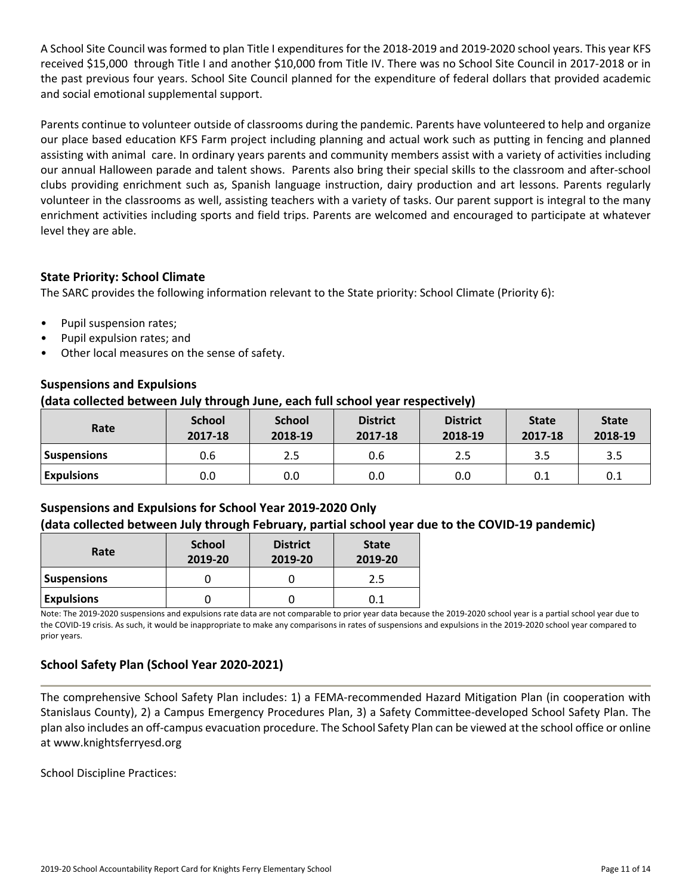A School Site Council was formed to plan Title I expenditures for the 2018-2019 and 2019-2020 school years. This year KFS received \$15,000 through Title I and another \$10,000 from Title IV. There was no School Site Council in 2017-2018 or in the past previous four years. School Site Council planned for the expenditure of federal dollars that provided academic and social emotional supplemental support.

Parents continue to volunteer outside of classrooms during the pandemic. Parents have volunteered to help and organize our place based education KFS Farm project including planning and actual work such as putting in fencing and planned assisting with animal care. In ordinary years parents and community members assist with a variety of activities including our annual Halloween parade and talent shows. Parents also bring their special skills to the classroom and after-school clubs providing enrichment such as, Spanish language instruction, dairy production and art lessons. Parents regularly volunteer in the classrooms as well, assisting teachers with a variety of tasks. Our parent support is integral to the many enrichment activities including sports and field trips. Parents are welcomed and encouraged to participate at whatever level they are able.

# **State Priority: School Climate**

The SARC provides the following information relevant to the State priority: School Climate (Priority 6):

- Pupil suspension rates;
- Pupil expulsion rates; and
- Other local measures on the sense of safety.

## **Suspensions and Expulsions**

### **(data collected between July through June, each full school year respectively)**

| Rate               | <b>School</b><br>2017-18 | <b>School</b><br>2018-19 | <b>District</b><br>2017-18 | <b>District</b><br>2018-19 | <b>State</b><br>2017-18 | <b>State</b><br>2018-19 |
|--------------------|--------------------------|--------------------------|----------------------------|----------------------------|-------------------------|-------------------------|
| <b>Suspensions</b> | 0.6                      | 2.5                      | 0.6                        | 2.5                        | 3.5                     | 3.5                     |
| <b>Expulsions</b>  | 0.0                      | 0.0                      | 0.0                        | 0.0                        | 0.1                     | 0.1                     |

# **Suspensions and Expulsions for School Year 2019-2020 Only (data collected between July through February, partial school year due to the COVID-19 pandemic)**

| Rate               | <b>School</b><br>2019-20 | <b>District</b><br>2019-20 | <b>State</b><br>2019-20 |  |
|--------------------|--------------------------|----------------------------|-------------------------|--|
| <b>Suspensions</b> |                          |                            | 2.5                     |  |
| <b>Expulsions</b>  |                          |                            | 0.1                     |  |

Note: The 2019-2020 suspensions and expulsions rate data are not comparable to prior year data because the 2019-2020 school year is a partial school year due to the COVID-19 crisis. As such, it would be inappropriate to make any comparisons in rates of suspensions and expulsions in the 2019-2020 school year compared to prior years.

## **School Safety Plan (School Year 2020-2021)**

The comprehensive School Safety Plan includes: 1) a FEMA-recommended Hazard Mitigation Plan (in cooperation with Stanislaus County), 2) a Campus Emergency Procedures Plan, 3) a Safety Committee-developed School Safety Plan. The plan also includes an off-campus evacuation procedure. The School Safety Plan can be viewed at the school office or online at www.knightsferryesd.org

School Discipline Practices: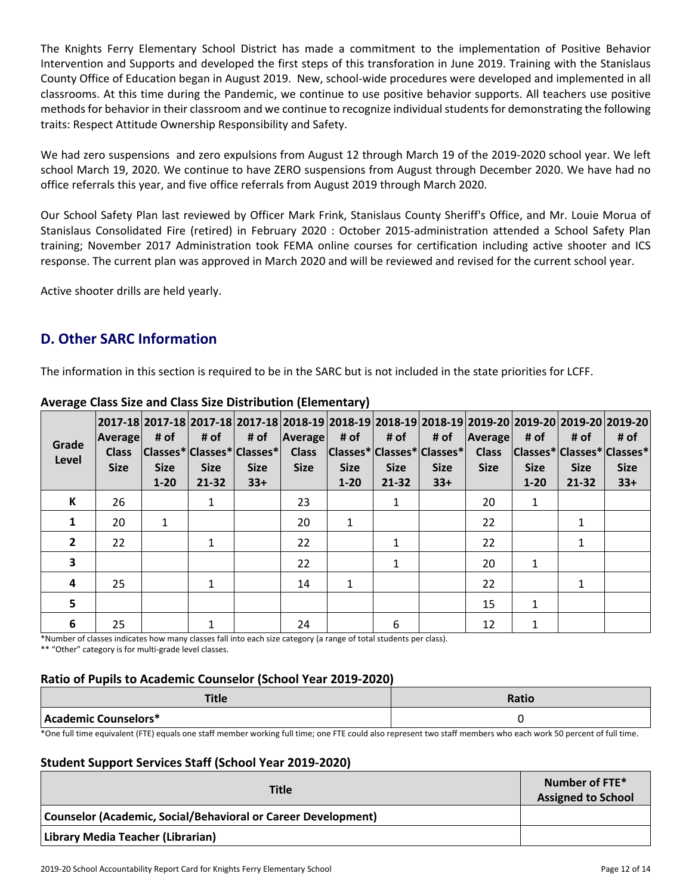The Knights Ferry Elementary School District has made a commitment to the implementation of Positive Behavior Intervention and Supports and developed the first steps of this transforation in June 2019. Training with the Stanislaus County Office of Education began in August 2019. New, school-wide procedures were developed and implemented in all classrooms. At this time during the Pandemic, we continue to use positive behavior supports. All teachers use positive methods for behavior in their classroom and we continue to recognize individual students for demonstrating the following traits: Respect Attitude Ownership Responsibility and Safety.

We had zero suspensions and zero expulsions from August 12 through March 19 of the 2019-2020 school year. We left school March 19, 2020. We continue to have ZERO suspensions from August through December 2020. We have had no office referrals this year, and five office referrals from August 2019 through March 2020.

Our School Safety Plan last reviewed by Officer Mark Frink, Stanislaus County Sheriff's Office, and Mr. Louie Morua of Stanislaus Consolidated Fire (retired) in February 2020 : October 2015-administration attended a School Safety Plan training; November 2017 Administration took FEMA online courses for certification including active shooter and ICS response. The current plan was approved in March 2020 and will be reviewed and revised for the current school year.

Active shooter drills are held yearly.

# **D. Other SARC Information**

The information in this section is required to be in the SARC but is not included in the state priorities for LCFF.

| Grade<br>Level | Average<br><b>Class</b><br><b>Size</b> | # of<br><b>Size</b><br>$1 - 20$ | # of<br> Classes* Classes* Classes* <br><b>Size</b><br>$21 - 32$ | # of<br><b>Size</b><br>$33+$ | <b>Average</b><br><b>Class</b><br><b>Size</b> | # of<br> Classes* Classes* Classes* <br><b>Size</b><br>$1 - 20$ | # of<br><b>Size</b><br>$21 - 32$ | # of<br><b>Size</b><br>$33+$ | Average<br><b>Class</b><br><b>Size</b> | # of<br><b>Size</b><br>$1 - 20$ | # of<br><b>Size</b><br>$21 - 32$ | 2017-18  2017-18  2017-18  2017-18  2018-19  2018-19  2018-19  2018-19  2019-20  2019-20  2019-20  2019-20 <br># of<br> Classes* Classes* Classes*<br><b>Size</b><br>$33+$ |
|----------------|----------------------------------------|---------------------------------|------------------------------------------------------------------|------------------------------|-----------------------------------------------|-----------------------------------------------------------------|----------------------------------|------------------------------|----------------------------------------|---------------------------------|----------------------------------|----------------------------------------------------------------------------------------------------------------------------------------------------------------------------|
| К              | 26                                     |                                 | 1                                                                |                              | 23                                            |                                                                 | 1                                |                              | 20                                     | 1                               |                                  |                                                                                                                                                                            |
| 1              | 20                                     | 1                               |                                                                  |                              | 20                                            | 1                                                               |                                  |                              | 22                                     |                                 |                                  |                                                                                                                                                                            |
| $\overline{2}$ | 22                                     |                                 | 1                                                                |                              | 22                                            |                                                                 | 1                                |                              | 22                                     |                                 |                                  |                                                                                                                                                                            |
| 3              |                                        |                                 |                                                                  |                              | 22                                            |                                                                 | 1                                |                              | 20                                     | 1                               |                                  |                                                                                                                                                                            |
| $\overline{a}$ | 25                                     |                                 | $\mathbf{1}$                                                     |                              | 14                                            | 1                                                               |                                  |                              | 22                                     |                                 |                                  |                                                                                                                                                                            |
| 5              |                                        |                                 |                                                                  |                              |                                               |                                                                 |                                  |                              | 15                                     | $\mathbf{1}$                    |                                  |                                                                                                                                                                            |
| 6              | 25                                     |                                 |                                                                  |                              | 24                                            |                                                                 | 6                                |                              | 12                                     | 1                               |                                  |                                                                                                                                                                            |

### **Average Class Size and Class Size Distribution (Elementary)**

\*Number of classes indicates how many classes fall into each size category (a range of total students per class).

\*\* "Other" category is for multi-grade level classes.

## **Ratio of Pupils to Academic Counselor (School Year 2019-2020)**

| <b>TELL</b><br>ᅚᄕ    | Ratio |
|----------------------|-------|
| Academic Counselors* |       |

\*One full time equivalent (FTE) equals one staff member working full time; one FTE could also represent two staff members who each work 50 percent of full time.

## **Student Support Services Staff (School Year 2019-2020)**

| <b>Title</b>                                                         | Number of FTE*<br><b>Assigned to School</b> |
|----------------------------------------------------------------------|---------------------------------------------|
| <b>Counselor (Academic, Social/Behavioral or Career Development)</b> |                                             |
| Library Media Teacher (Librarian)                                    |                                             |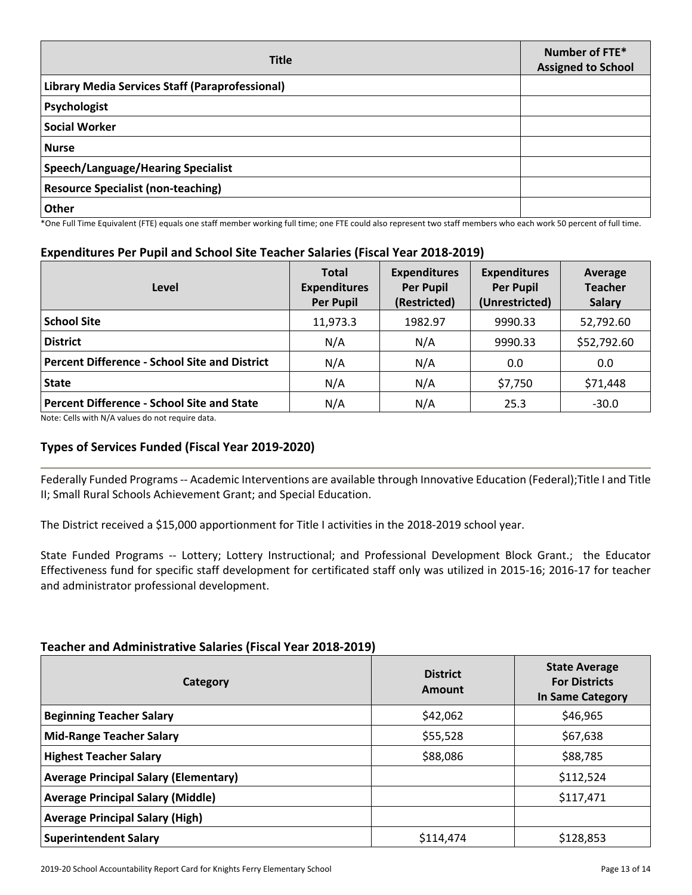| <b>Title</b>                                    | Number of FTE*<br><b>Assigned to School</b> |
|-------------------------------------------------|---------------------------------------------|
| Library Media Services Staff (Paraprofessional) |                                             |
| Psychologist                                    |                                             |
| <b>Social Worker</b>                            |                                             |
| <b>Nurse</b>                                    |                                             |
| <b>Speech/Language/Hearing Specialist</b>       |                                             |
| <b>Resource Specialist (non-teaching)</b>       |                                             |
| <b>Other</b>                                    |                                             |

\*One Full Time Equivalent (FTE) equals one staff member working full time; one FTE could also represent two staff members who each work 50 percent of full time.

#### **Expenditures Per Pupil and School Site Teacher Salaries (Fiscal Year 2018-2019)**

| Level                                                | <b>Total</b><br><b>Expenditures</b><br><b>Per Pupil</b> | <b>Expenditures</b><br><b>Per Pupil</b><br>(Restricted) | <b>Expenditures</b><br><b>Per Pupil</b><br>(Unrestricted) | Average<br><b>Teacher</b><br><b>Salary</b> |
|------------------------------------------------------|---------------------------------------------------------|---------------------------------------------------------|-----------------------------------------------------------|--------------------------------------------|
| <b>School Site</b>                                   | 11,973.3                                                | 1982.97                                                 | 9990.33                                                   | 52,792.60                                  |
| <b>District</b>                                      | N/A                                                     | N/A                                                     | 9990.33                                                   | \$52,792.60                                |
| <b>Percent Difference - School Site and District</b> | N/A                                                     | N/A                                                     | 0.0                                                       | 0.0                                        |
| <b>State</b>                                         | N/A                                                     | N/A                                                     | \$7,750                                                   | \$71,448                                   |
| <b>Percent Difference - School Site and State</b>    | N/A                                                     | N/A                                                     | 25.3                                                      | $-30.0$                                    |

Note: Cells with N/A values do not require data.

#### **Types of Services Funded (Fiscal Year 2019-2020)**

Federally Funded Programs-- Academic Interventions are available through Innovative Education (Federal);Title I and Title II; Small Rural Schools Achievement Grant; and Special Education.

The District received a \$15,000 apportionment for Title I activities in the 2018-2019 school year.

State Funded Programs -- Lottery; Lottery Instructional; and Professional Development Block Grant.; the Educator Effectiveness fund for specific staff development for certificated staff only was utilized in 2015-16; 2016-17 for teacher and administrator professional development.

#### **Teacher and Administrative Salaries (Fiscal Year 2018-2019)**

| Category                                     | <b>District</b><br>Amount | <b>State Average</b><br><b>For Districts</b><br><b>In Same Category</b> |
|----------------------------------------------|---------------------------|-------------------------------------------------------------------------|
| <b>Beginning Teacher Salary</b>              | \$42,062                  | \$46,965                                                                |
| <b>Mid-Range Teacher Salary</b>              | \$55,528                  | \$67,638                                                                |
| <b>Highest Teacher Salary</b>                | \$88,086                  | \$88,785                                                                |
| <b>Average Principal Salary (Elementary)</b> |                           | \$112,524                                                               |
| <b>Average Principal Salary (Middle)</b>     |                           | \$117,471                                                               |
| <b>Average Principal Salary (High)</b>       |                           |                                                                         |
| <b>Superintendent Salary</b>                 | \$114,474                 | \$128,853                                                               |